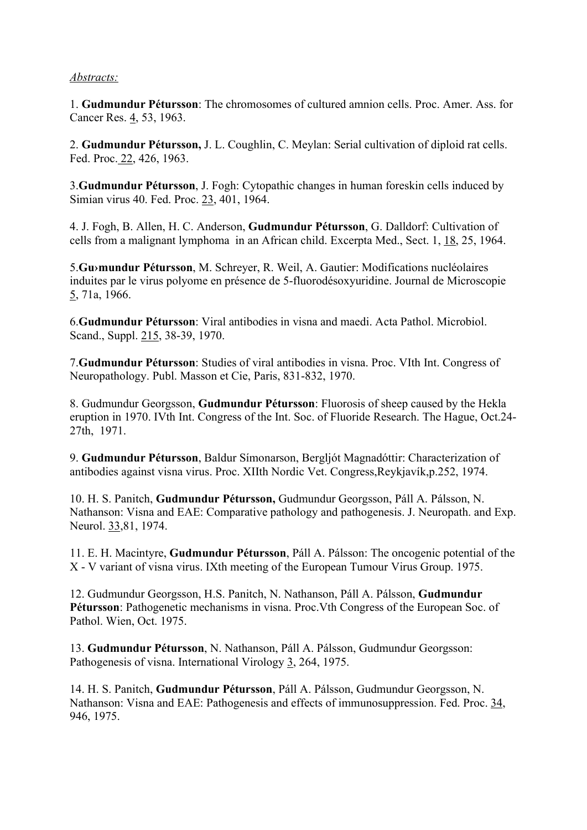## Abstracts:

1. Gudmundur Pétursson: The chromosomes of cultured amnion cells. Proc. Amer. Ass. for Cancer Res. 4, 53, 1963.

2. Gudmundur Pétursson, J. L. Coughlin, C. Meylan: Serial cultivation of diploid rat cells. Fed. Proc. 22, 426, 1963.

3.Gudmundur Pétursson, J. Fogh: Cytopathic changes in human foreskin cells induced by Simian virus 40. Fed. Proc. 23, 401, 1964.

4. J. Fogh, B. Allen, H. C. Anderson, Gudmundur Pétursson, G. Dalldorf: Cultivation of cells from a malignant lymphoma in an African child. Excerpta Med., Sect. 1, 18, 25, 1964.

5.Gu›mundur Pétursson, M. Schreyer, R. Weil, A. Gautier: Modifications nucléolaires induites par le virus polyome en présence de 5-fluorodésoxyuridine. Journal de Microscopie 5, 71a, 1966.

6.Gudmundur Pétursson: Viral antibodies in visna and maedi. Acta Pathol. Microbiol. Scand., Suppl. 215, 38-39, 1970.

7.Gudmundur Pétursson: Studies of viral antibodies in visna. Proc. VIth Int. Congress of Neuropathology. Publ. Masson et Cie, Paris, 831-832, 1970.

8. Gudmundur Georgsson, Gudmundur Pétursson: Fluorosis of sheep caused by the Hekla eruption in 1970. IVth Int. Congress of the Int. Soc. of Fluoride Research. The Hague, Oct.24- 27th, 1971.

9. Gudmundur Pétursson, Baldur Símonarson, Bergljót Magnadóttir: Characterization of antibodies against visna virus. Proc. XIIth Nordic Vet. Congress,Reykjavík,p.252, 1974.

10. H. S. Panitch, Gudmundur Pétursson, Gudmundur Georgsson, Páll A. Pálsson, N. Nathanson: Visna and EAE: Comparative pathology and pathogenesis. J. Neuropath. and Exp. Neurol. 33,81, 1974.

11. E. H. Macintyre, Gudmundur Pétursson, Páll A. Pálsson: The oncogenic potential of the X - V variant of visna virus. IXth meeting of the European Tumour Virus Group. 1975.

12. Gudmundur Georgsson, H.S. Panitch, N. Nathanson, Páll A. Pálsson, Gudmundur Pétursson: Pathogenetic mechanisms in visna. Proc.Vth Congress of the European Soc. of Pathol. Wien, Oct. 1975.

13. Gudmundur Pétursson, N. Nathanson, Páll A. Pálsson, Gudmundur Georgsson: Pathogenesis of visna. International Virology 3, 264, 1975.

14. H. S. Panitch, Gudmundur Pétursson, Páll A. Pálsson, Gudmundur Georgsson, N. Nathanson: Visna and EAE: Pathogenesis and effects of immunosuppression. Fed. Proc. 34, 946, 1975.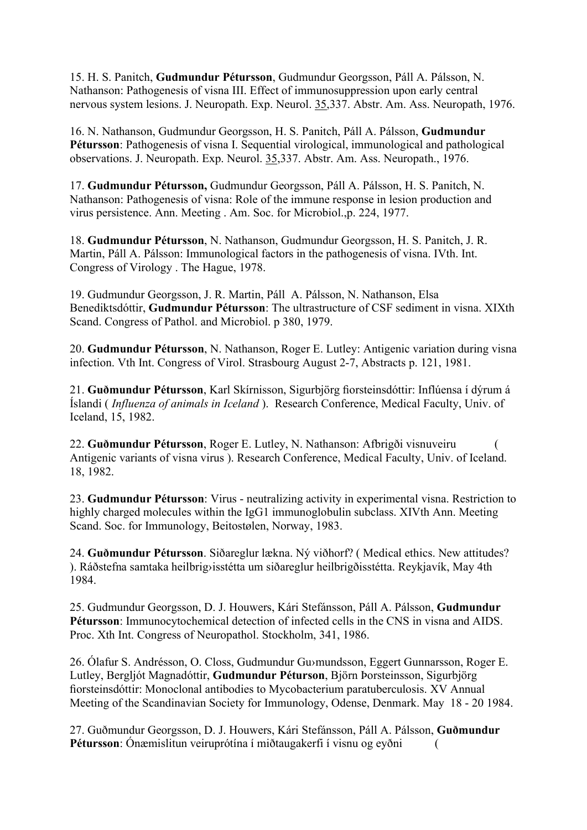15. H. S. Panitch, Gudmundur Pétursson, Gudmundur Georgsson, Páll A. Pálsson, N. Nathanson: Pathogenesis of visna III. Effect of immunosuppression upon early central nervous system lesions. J. Neuropath. Exp. Neurol. 35,337. Abstr. Am. Ass. Neuropath, 1976.

16. N. Nathanson, Gudmundur Georgsson, H. S. Panitch, Páll A. Pálsson, Gudmundur Pétursson: Pathogenesis of visna I. Sequential virological, immunological and pathological observations. J. Neuropath. Exp. Neurol. 35,337. Abstr. Am. Ass. Neuropath., 1976.

17. Gudmundur Pétursson, Gudmundur Georgsson, Páll A. Pálsson, H. S. Panitch, N. Nathanson: Pathogenesis of visna: Role of the immune response in lesion production and virus persistence. Ann. Meeting . Am. Soc. for Microbiol.,p. 224, 1977.

18. Gudmundur Pétursson, N. Nathanson, Gudmundur Georgsson, H. S. Panitch, J. R. Martin, Páll A. Pálsson: Immunological factors in the pathogenesis of visna. IVth. Int. Congress of Virology . The Hague, 1978.

19. Gudmundur Georgsson, J. R. Martin, Páll A. Pálsson, N. Nathanson, Elsa Benediktsdóttir, Gudmundur Pétursson: The ultrastructure of CSF sediment in visna. XIXth Scand. Congress of Pathol. and Microbiol. p 380, 1979.

20. Gudmundur Pétursson, N. Nathanson, Roger E. Lutley: Antigenic variation during visna infection. Vth Int. Congress of Virol. Strasbourg August 2-7, Abstracts p. 121, 1981.

21. Guðmundur Pétursson, Karl Skírnisson, Sigurbjörg fiorsteinsdóttir: Inflúensa í dýrum á Íslandi ( Influenza of animals in Iceland ). Research Conference, Medical Faculty, Univ. of Iceland, 15, 1982.

22. Guðmundur Pétursson, Roger E. Lutley, N. Nathanson: Afbrigði visnuveiru ( Antigenic variants of visna virus ). Research Conference, Medical Faculty, Univ. of Iceland. 18, 1982.

23. Gudmundur Pétursson: Virus - neutralizing activity in experimental visna. Restriction to highly charged molecules within the IgG1 immunoglobulin subclass. XIVth Ann. Meeting Scand. Soc. for Immunology, Beitostølen, Norway, 1983.

24. Guðmundur Pétursson. Siðareglur lækna. Ný viðhorf? ( Medical ethics. New attitudes? ). Ráðstefna samtaka heilbrig›isstétta um siðareglur heilbrigðisstétta. Reykjavík, May 4th 1984.

25. Gudmundur Georgsson, D. J. Houwers, Kári Stefánsson, Páll A. Pálsson, Gudmundur Pétursson: Immunocytochemical detection of infected cells in the CNS in visna and AIDS. Proc. Xth Int. Congress of Neuropathol. Stockholm, 341, 1986.

26. Ólafur S. Andrésson, O. Closs, Gudmundur Gu›mundsson, Eggert Gunnarsson, Roger E. Lutley, Bergljót Magnadóttir, Gudmundur Péturson, Björn Þorsteinsson, Sigurbjörg fiorsteinsdóttir: Monoclonal antibodies to Mycobacterium paratuberculosis. XV Annual Meeting of the Scandinavian Society for Immunology, Odense, Denmark. May 18 - 20 1984.

27. Guðmundur Georgsson, D. J. Houwers, Kári Stefánsson, Páll A. Pálsson, Guðmundur Pétursson: Ónæmislitun veiruprótína í miðtaugakerfi í visnu og eyðni (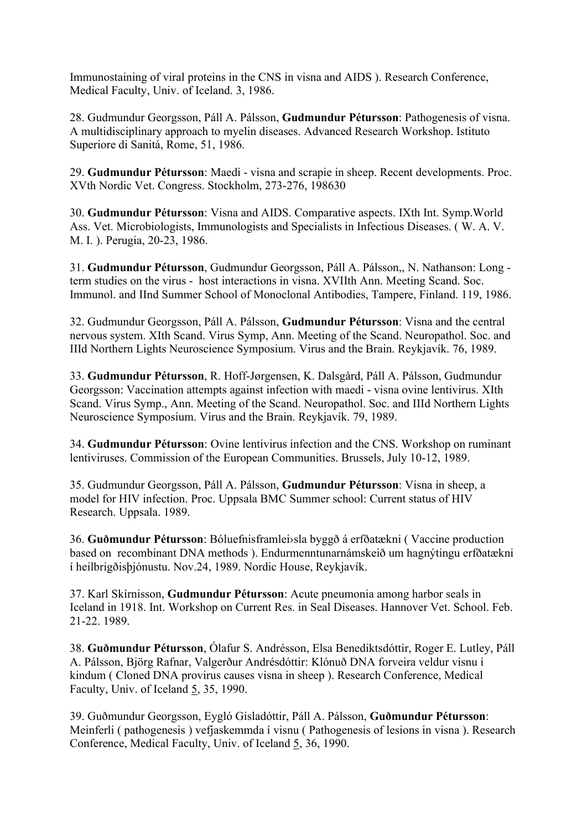Immunostaining of viral proteins in the CNS in visna and AIDS ). Research Conference, Medical Faculty, Univ. of Iceland. 3, 1986.

28. Gudmundur Georgsson, Páll A. Pálsson, Gudmundur Pétursson: Pathogenesis of visna. A multidisciplinary approach to myelin diseases. Advanced Research Workshop. Istituto Superiore di Sanitá, Rome, 51, 1986.

29. Gudmundur Pétursson: Maedi - visna and scrapie in sheep. Recent developments. Proc. XVth Nordic Vet. Congress. Stockholm, 273-276, 198630

30. Gudmundur Pétursson: Visna and AIDS. Comparative aspects. IXth Int. Symp.World Ass. Vet. Microbiologists, Immunologists and Specialists in Infectious Diseases. ( W. A. V. M. I. ). Perugia, 20-23, 1986.

31. Gudmundur Pétursson, Gudmundur Georgsson, Páll A. Pálsson,, N. Nathanson: Long term studies on the virus - host interactions in visna. XVIIth Ann. Meeting Scand. Soc. Immunol. and IInd Summer School of Monoclonal Antibodies, Tampere, Finland. 119, 1986.

32. Gudmundur Georgsson, Páll A. Pálsson, Gudmundur Pétursson: Visna and the central nervous system. XIth Scand. Virus Symp, Ann. Meeting of the Scand. Neuropathol. Soc. and IIId Northern Lights Neuroscience Symposium. Virus and the Brain. Reykjavík. 76, 1989.

33. Gudmundur Pétursson, R. Hoff-Jørgensen, K. Dalsgård, Páll A. Pálsson, Gudmundur Georgsson: Vaccination attempts against infection with maedi - visna ovine lentivirus. XIth Scand. Virus Symp., Ann. Meeting of the Scand. Neuropathol. Soc. and IIId Northern Lights Neuroscience Symposium. Virus and the Brain. Reykjavík. 79, 1989.

34. Gudmundur Pétursson: Ovine lentivirus infection and the CNS. Workshop on ruminant lentiviruses. Commission of the European Communities. Brussels, July 10-12, 1989.

35. Gudmundur Georgsson, Páll A. Pálsson, Gudmundur Pétursson: Visna in sheep, a model for HIV infection. Proc. Uppsala BMC Summer school: Current status of HIV Research. Uppsala. 1989.

36. Guðmundur Pétursson: Bóluefnisframlei›sla byggð á erfðatækni ( Vaccine production based on recombinant DNA methods ). Endurmenntunarnámskeið um hagnýtingu erfðatækni í heilbrigðisþjónustu. Nov.24, 1989. Nordic House, Reykjavík.

37. Karl Skírnisson, Gudmundur Pétursson: Acute pneumonia among harbor seals in Iceland in 1918. Int. Workshop on Current Res. in Seal Diseases. Hannover Vet. School. Feb. 21-22. 1989.

38. Guðmundur Pétursson, Ólafur S. Andrésson, Elsa Benediktsdóttir, Roger E. Lutley, Páll A. Pálsson, Björg Rafnar, Valgerður Andrésdóttir: Klónuð DNA forveira veldur visnu í kindum ( Cloned DNA provirus causes visna in sheep ). Research Conference, Medical Faculty, Univ. of Iceland 5, 35, 1990.

39. Guðmundur Georgsson, Eygló Gísladóttir, Páll A. Pálsson, Guðmundur Pétursson: Meinferli ( pathogenesis ) vefjaskemmda í visnu ( Pathogenesis of lesions in visna ). Research Conference, Medical Faculty, Univ. of Iceland 5, 36, 1990.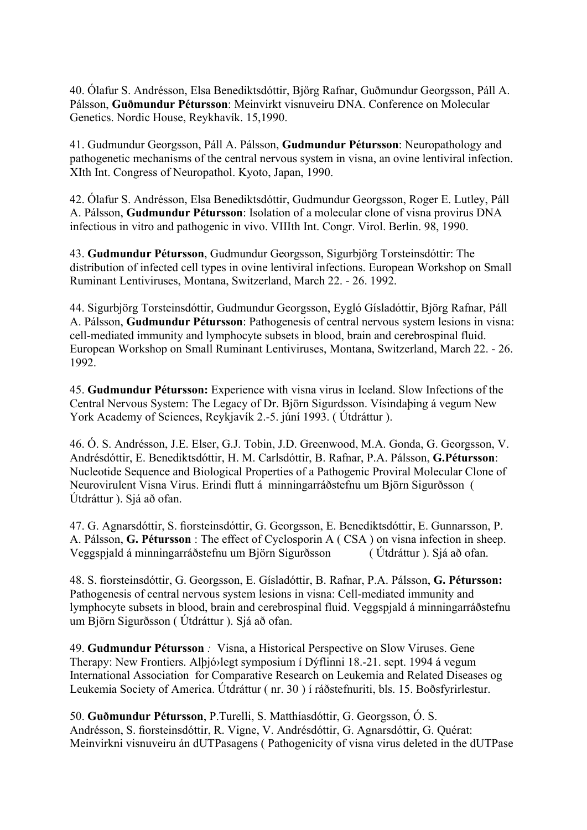40. Ólafur S. Andrésson, Elsa Benediktsdóttir, Björg Rafnar, Guðmundur Georgsson, Páll A. Pálsson, Guðmundur Pétursson: Meinvirkt visnuveiru DNA. Conference on Molecular Genetics. Nordic House, Reykhavík. 15,1990.

41. Gudmundur Georgsson, Páll A. Pálsson, Gudmundur Pétursson: Neuropathology and pathogenetic mechanisms of the central nervous system in visna, an ovine lentiviral infection. XIth Int. Congress of Neuropathol. Kyoto, Japan, 1990.

42. Ólafur S. Andrésson, Elsa Benediktsdóttir, Gudmundur Georgsson, Roger E. Lutley, Páll A. Pálsson, Gudmundur Pétursson: Isolation of a molecular clone of visna provirus DNA infectious in vitro and pathogenic in vivo. VIIIth Int. Congr. Virol. Berlin. 98, 1990.

43. Gudmundur Pétursson, Gudmundur Georgsson, Sigurbjörg Torsteinsdóttir: The distribution of infected cell types in ovine lentiviral infections. European Workshop on Small Ruminant Lentiviruses, Montana, Switzerland, March 22. - 26. 1992.

44. Sigurbjörg Torsteinsdóttir, Gudmundur Georgsson, Eygló Gísladóttir, Björg Rafnar, Páll A. Pálsson, Gudmundur Pétursson: Pathogenesis of central nervous system lesions in visna: cell-mediated immunity and lymphocyte subsets in blood, brain and cerebrospinal fluid. European Workshop on Small Ruminant Lentiviruses, Montana, Switzerland, March 22. - 26. 1992.

45. Gudmundur Pétursson: Experience with visna virus in Iceland. Slow Infections of the Central Nervous System: The Legacy of Dr. Björn Sigurdsson. Vísindaþing á vegum New York Academy of Sciences, Reykjavík 2.-5. júní 1993. ( Útdráttur ).

46. Ó. S. Andrésson, J.E. Elser, G.J. Tobin, J.D. Greenwood, M.A. Gonda, G. Georgsson, V. Andrésdóttir, E. Benediktsdóttir, H. M. Carlsdóttir, B. Rafnar, P.A. Pálsson, G.Pétursson: Nucleotide Sequence and Biological Properties of a Pathogenic Proviral Molecular Clone of Neurovirulent Visna Virus. Erindi flutt á minningarráðstefnu um Björn Sigurðsson ( Útdráttur ). Sjá að ofan.

47. G. Agnarsdóttir, S. fiorsteinsdóttir, G. Georgsson, E. Benediktsdóttir, E. Gunnarsson, P. A. Pálsson, G. Pétursson : The effect of Cyclosporin A ( CSA ) on visna infection in sheep. Veggspjald á minningarráðstefnu um Björn Sigurðsson ( Útdráttur ). Sjá að ofan.

48. S. fiorsteinsdóttir, G. Georgsson, E. Gísladóttir, B. Rafnar, P.A. Pálsson, G. Pétursson: Pathogenesis of central nervous system lesions in visna: Cell-mediated immunity and lymphocyte subsets in blood, brain and cerebrospinal fluid. Veggspjald á minningarráðstefnu um Björn Sigurðsson ( Útdráttur ). Sjá að ofan.

49. Gudmundur Pétursson : Visna, a Historical Perspective on Slow Viruses. Gene Therapy: New Frontiers. Alþjó›legt symposium í Dýflinni 18.-21. sept. 1994 á vegum International Association for Comparative Research on Leukemia and Related Diseases og Leukemia Society of America. Útdráttur ( nr. 30 ) í ráðstefnuriti, bls. 15. Boðsfyrirlestur.

50. Guðmundur Pétursson, P.Turelli, S. Matthíasdóttir, G. Georgsson, Ó. S. Andrésson, S. fiorsteinsdóttir, R. Vigne, V. Andrésdóttir, G. Agnarsdóttir, G. Quérat: Meinvirkni visnuveiru án dUTPasagens ( Pathogenicity of visna virus deleted in the dUTPase